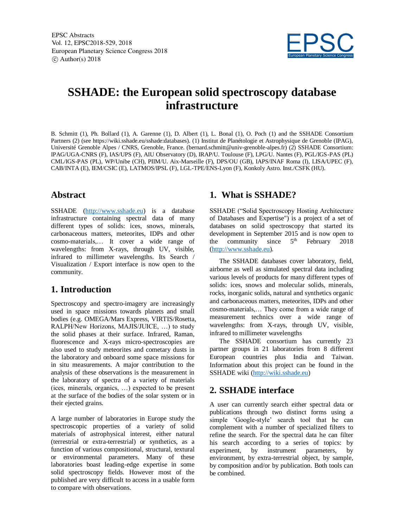EPSC Abstracts Vol. 12, EPSC2018-529, 2018 European Planetary Science Congress 2018  $\circ$  Author(s) 2018



# **SSHADE: the European solid spectroscopy database infrastructure**

B. Schmitt (1), Ph. Bollard (1), A. Garenne (1), D. Albert (1), L. Bonal (1), O. Poch (1) and the SSHADE Consortium Partners (2) (see https://wiki.sshade.eu/sshade:databases). (1) Institut de Planétologie et Astrophysique de Grenoble (IPAG), Université Grenoble Alpes / CNRS, Grenoble, France. (bernard.schmitt@univ-grenoble-alpes.fr) (2) SSHADE Consortium: IPAG/UGA-CNRS (F), IAS/UPS (F), AIU Observatory (D), IRAP/U. Toulouse (F), LPG/U. Nantes (F), PGL/IGS-PAS (PL) CML/IGS-PAS (PL), WP/Unibe (CH), PIIM/U. Aix-Marseille (F), DPS/OU (GB), IAPS/INAF Roma (I), LISA/UPEC (F), CAB/INTA (E), IEM/CSIC (E), LATMOS/IPSL (F), LGL-TPE/ENS-Lyon (F), Konkoly Astro. Inst./CSFK (HU).

#### **Abstract**

SSHADE (http://www.sshade.eu) is a database infrastructure containing spectral data of many different types of solids: ices, snows, minerals, carbonaceous matters, meteorites, IDPs and other cosmo-materials,… It cover a wide range of wavelengths: from X-rays, through UV, visible, infrared to millimeter wavelengths. Its Search / Visualization / Export interface is now open to the community.

## **1. Introduction**

Spectroscopy and spectro-imagery are increasingly used in space missions towards planets and small bodies (e.g. OMEGA/Mars Express, VIRTIS/Rosetta, RALPH/New Horizons, MAJIS/JUICE, …) to study the solid phases at their surface. Infrared, Raman, fluorescence and X-rays micro-spectroscopies are also used to study meteorites and cometary dusts in the laboratory and onboard some space missions for in situ measurements. A major contribution to the analysis of these observations is the measurement in the laboratory of spectra of a variety of materials (ices, minerals, organics, …) expected to be present at the surface of the bodies of the solar system or in their ejected grains.

A large number of laboratories in Europe study the spectroscopic properties of a variety of solid materials of astrophysical interest, either natural (terrestrial or extra-terrestrial) or synthetics, as a function of various compositional, structural, textural or environmental parameters. Many of these laboratories boast leading-edge expertise in some solid spectroscopy fields. However most of the published are very difficult to access in a usable form to compare with observations.

## **1. What is SSHADE?**

SSHADE ("Solid Spectroscopy Hosting Architecture of Databases and Expertise") is a project of a set of databases on solid spectroscopy that started its development in September 2015 and is now open to the community since  $5<sup>th</sup>$  February 2018 (http://www.sshade.eu).

The SSHADE databases cover laboratory, field, airborne as well as simulated spectral data including various levels of products for many different types of solids: ices, snows and molecular solids, minerals, rocks, inorganic solids, natural and synthetics organic and carbonaceous matters, meteorites, IDPs and other cosmo-materials,… They come from a wide range of measurement technics over a wide range of wavelengths: from X-rays, through UV, visible, infrared to millimeter wavelengths

The SSHADE consortium has currently 23 partner groups in 21 laboratories from 8 different European countries plus India and Taiwan. Information about this project can be found in the SSHADE wiki (http://wiki.sshade.eu)

## **2. SSHADE interface**

A user can currently search either spectral data or publications through two distinct forms using a simple 'Google-style' search tool that he can complement with a number of specialized filters to refine the search. For the spectral data he can filter his search according to a series of topics: by experiment, by instrument parameters, by environment, by extra-terrestrial object, by sample, by composition and/or by publication. Both tools can be combined.